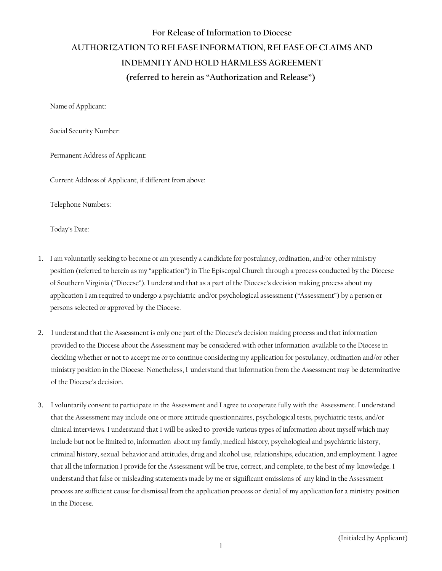## **For Release of Information to Diocese AUTHORIZATION TO RELEASE INFORMATION, RELEASE OF CLAIMS AND INDEMNITY AND HOLD HARMLESS AGREEMENT (referred to herein as "Authorization and Release")**

Name of Applicant:

Social Security Number:

Permanent Address of Applicant:

Current Address of Applicant, if different from above:

Telephone Numbers:

Today's Date:

- 1. I am voluntarily seeking to become or am presently a candidate for postulancy, ordination, and/or other ministry position (referred to herein as my "application") in The Episcopal Church through a process conducted by the Diocese of Southern Virginia ("Diocese"). I understand that as a part of the Diocese's decision making process about my application I am required to undergo a psychiatric and/or psychological assessment ("Assessment") by a person or persons selected or approved by the Diocese.
- 2. I understand that the Assessment is only one part of the Diocese's decision making process and that information provided to the Diocese about the Assessment may be considered with other information available to the Diocese in deciding whether or not to accept me or to continue considering my application for postulancy, ordination and/or other ministry position in the Diocese. Nonetheless, I understand that information from the Assessment may be determinative of the Diocese's decision.
- 3. I voluntarily consent to participate in the Assessment and I agree to cooperate fully with the Assessment. I understand that the Assessment may include one or more attitude questionnaires, psychological tests, psychiatric tests, and/or clinical interviews. I understand that I will be asked to provide various types of information about myself which may include but not be limited to, information about my family, medical history, psychological and psychiatric history, criminal history, sexual behavior and attitudes, drug and alcohol use, relationships, education, and employment. I agree that all the information I provide for the Assessment will be true, correct, and complete, to the best of my knowledge. I understand that false or misleading statements made by me or significant omissions of any kind in the Assessment process are sufficient cause for dismissal from the application process or denial of my application for a ministry position in the Diocese.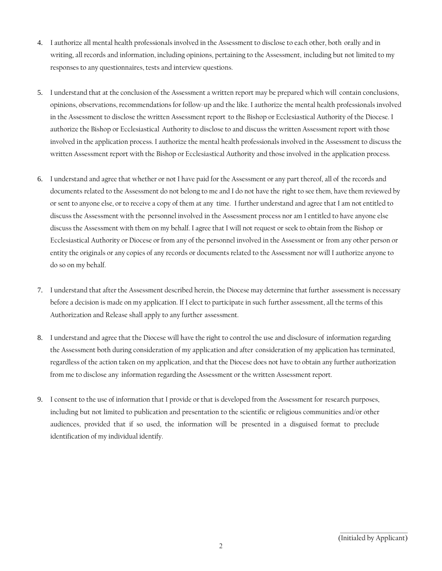- 4. I authorize all mental health professionals involved in the Assessment to disclose to each other, both orally and in writing, all records and information, including opinions, pertaining to the Assessment, including but not limited to my responses to any questionnaires, tests and interview questions.
- 5. I understand that at the conclusion of the Assessment a written report may be prepared which will contain conclusions, opinions, observations, recommendations for follow-up and the like. I authorize the mental health professionals involved in the Assessment to disclose the written Assessment report to the Bishop or Ecclesiastical Authority of the Diocese. I authorize the Bishop or Ecclesiastical Authority to disclose to and discuss the written Assessment report with those involved in the application process. I authorize the mental health professionals involved in the Assessment to discuss the written Assessment report with the Bishop or Ecclesiastical Authority and those involved in the application process.
- 6. I understand and agree that whether or not I have paid for the Assessment or any part thereof, all of the records and documents related to the Assessment do not belong to me and I do not have the right to see them, have them reviewed by or sent to anyone else, or to receive a copy of them at any time. I further understand and agree that I am not entitled to discuss the Assessment with the personnel involved in the Assessment process nor am I entitled to have anyone else discuss the Assessment with them on my behalf. I agree that I will not request or seek to obtain from the Bishop or Ecclesiastical Authority or Diocese or from any of the personnel involved in the Assessment or from any other person or entity the originals or any copies of any records or documents related to the Assessment nor will I authorize anyone to do so on my behalf.
- 7. I understand that after the Assessment described herein, the Diocese may determine that further assessment is necessary before a decision is made on my application. If I elect to participate in such further assessment, all the terms of this Authorization and Release shall apply to any further assessment.
- 8. I understand and agree that the Diocese will have the right to control the use and disclosure of information regarding the Assessment both during consideration of my application and after consideration of my application has terminated, regardless of the action taken on my application, and that the Diocese does not have to obtain any further authorization from me to disclose any information regarding the Assessment or the written Assessment report.
- 9. I consent to the use of information that I provide or that is developed from the Assessment for research purposes, including but not limited to publication and presentation to the scientific or religious communities and/or other audiences, provided that if so used, the information will be presented in a disguised format to preclude identification of my individual identify.